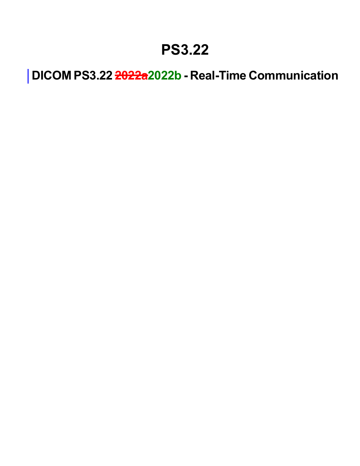### **PS3.22**

**DICOM PS3.22 2022a2022b - Real-Time Communication**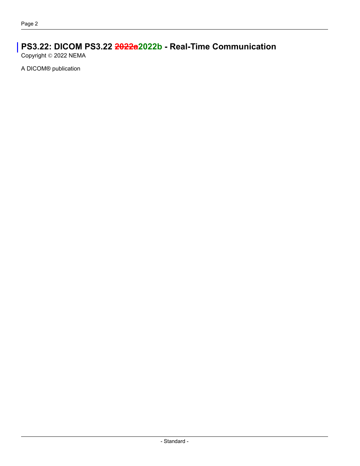#### **PS3.22: DICOM PS3.22 2022a2022b - Real-Time Communication**

Copyright © 2022 NEMA

A DICOM® publication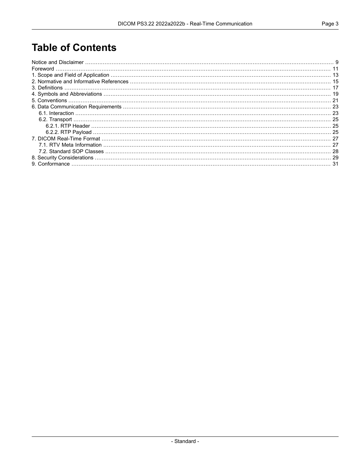#### **Table of Contents**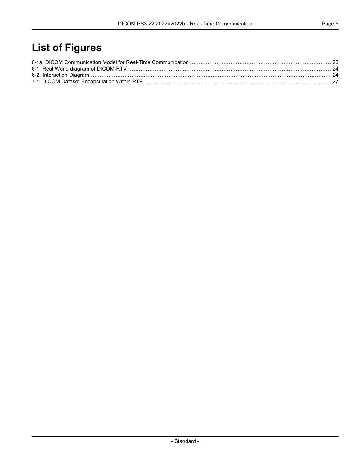### **List of Figures**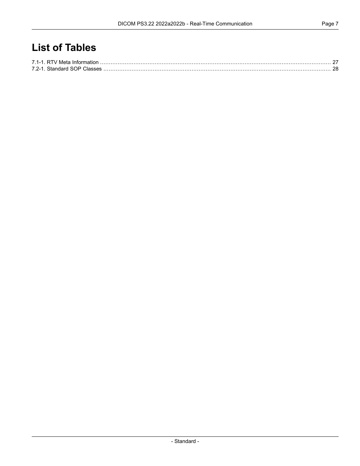#### **List of Tables**

| 7.2-1 Standard SOP Classes |  |
|----------------------------|--|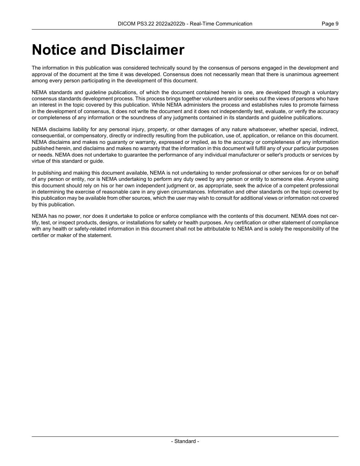### <span id="page-8-0"></span>**Notice and Disclaimer**

The information in this publication was considered technically sound by the consensus of persons engaged in the development and approval of the document at the time it was developed. Consensus does not necessarily mean that there is unanimous agreement among every person participating in the development of this document.

NEMA standards and guideline publications, of which the document contained herein is one, are developed through a voluntary consensus standards development process. This process brings together volunteers and/or seeks out the views of persons who have an interest in the topic covered by this publication. While NEMA administers the process and establishes rules to promote fairness in the development of consensus, it does not write the document and it does not independently test, evaluate, or verify the accuracy or completeness of any information or the soundness of any judgments contained in its standards and guideline publications.

NEMA disclaims liability for any personal injury, property, or other damages of any nature whatsoever, whether special, indirect, consequential, or compensatory, directly or indirectly resulting from the publication, use of, application, or reliance on this document. NEMA disclaims and makes no guaranty or warranty, expressed or implied, as to the accuracy or completeness of any information published herein, and disclaims and makes no warranty that the information in this document will fulfill any of your particular purposes or needs. NEMA does not undertake to guarantee the performance of any individual manufacturer or seller's products or services by virtue of this standard or guide.

In publishing and making this document available, NEMA is not undertaking to render professional or other services for or on behalf of any person or entity, nor is NEMA undertaking to perform any duty owed by any person or entity to someone else. Anyone using this document should rely on his or her own independent judgment or, as appropriate, seek the advice of a competent professional in determining the exercise of reasonable care in any given circumstances. Information and other standards on the topic covered by this publication may be available from other sources, which the user may wish to consult for additional views or information not covered by this publication.

NEMA has no power, nor does it undertake to police or enforce compliance with the contents of this document. NEMA does not cer tify, test, or inspect products, designs, or installations for safety or health purposes. Any certification or other statement of compliance with any health or safety-related information in this document shall not be attributable to NEMA and is solely the responsibility of the certifier or maker of the statement.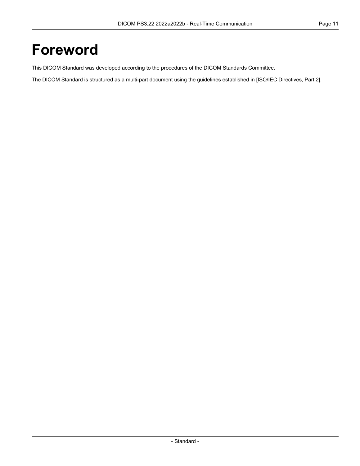### <span id="page-10-0"></span>**Foreword**

This DICOM Standard was developed according to the procedures of the DICOM Standards Committee.

The DICOM Standard is structured as a multi-part document using the guidelines established in [ISO/IEC [Directives,](#page-14-1) Part 2].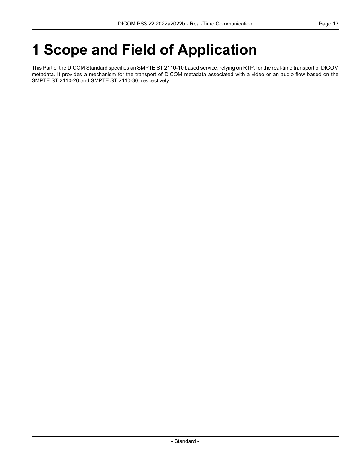# <span id="page-12-0"></span>**1 Scope and Field of Application**

This Part of the DICOM Standard specifies an SMPTE ST 2110-10 based service, relying on RTP, for the real-time transport of DICOM metadata. It provides a mechanism for the transport of DICOM metadata associated with a video or an audio flow based on the SMPTE ST 2110-20 and SMPTE ST 2110-30, respectively.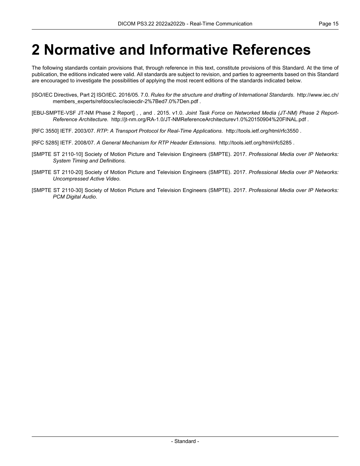## <span id="page-14-0"></span>**2 Normative and Informative References**

The following standards contain provisions that, through reference in this text, constitute provisions of this Standard. At the time of publication, the editions indicated were valid. All standards are subject to revision, and parties to agreements based on this Standard are encouraged to investigate the possibilities of applying the most recent editions of the standards indicated below.

- <span id="page-14-2"></span><span id="page-14-1"></span>[ISO/IEC Directives, Part 2] ISO/IEC. 2016/05. 7.0. *Rules for the structure and drafting of International Standards*. [http://www.iec.ch/](http://www.iec.ch/members_experts/refdocs/iec/isoiecdir-2%7Bed7.0%7Den.pdf) [members\\_experts/refdocs/iec/isoiecdir-2%7Bed7.0%7Den.pdf](http://www.iec.ch/members_experts/refdocs/iec/isoiecdir-2%7Bed7.0%7Den.pdf) .
- [EBU-SMPTE-VSF JT-NM Phase 2 Report] , , and . 2015. v1.0. *Joint Task Force on Networked Media (JT-NM) Phase 2 Report- Reference Architecture*. <http://jt-nm.org/RA-1.0/JT-NMReferenceArchitecturev1.0%20150904%20FINAL.pdf> .
- <span id="page-14-6"></span>[RFC 3550] IETF. 2003/07. *RTP: A Transport Protocol for Real-Time Applications*. <http://tools.ietf.org/html/rfc3550> .
- <span id="page-14-3"></span>[RFC 5285] IETF. 2008/07. *A General Mechanism for RTP Header Extensions*. <http://tools.ietf.org/html/rfc5285> .
- <span id="page-14-4"></span>[SMPTE ST 2110-10] Society of Motion Picture and Television Engineers (SMPTE). 2017. *Professional Media over IP Networks: System Timing and Definitions*.
- <span id="page-14-5"></span>[SMPTE ST 2110-20] Society of Motion Picture and Television Engineers (SMPTE). 2017. *Professional Media over IP Networks: Uncompressed Active Video*.
- [SMPTE ST 2110-30] Society of Motion Picture and Television Engineers (SMPTE). 2017. *Professional Media over IP Networks: PCM Digital Audio*.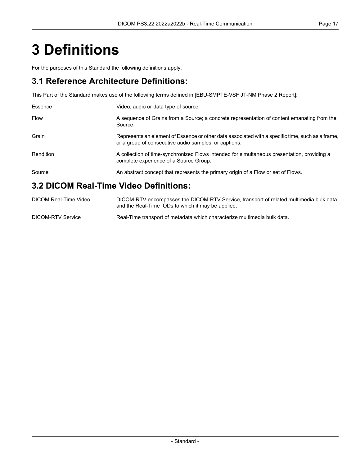# <span id="page-16-0"></span>**3 Definitions**

For the purposes of this Standard the following definitions apply.

#### **3.1 Reference Architecture Definitions:**

This Part of the Standard makes use of the following terms defined in [\[EBU-SMPTE-VSF](#page-14-2) JT-NM Phase 2 Report]:

| Essence   | Video, audio or data type of source.                                                                                                                      |
|-----------|-----------------------------------------------------------------------------------------------------------------------------------------------------------|
| Flow      | A sequence of Grains from a Source; a concrete representation of content emanating from the<br>Source.                                                    |
| Grain     | Represents an element of Essence or other data associated with a specific time, such as a frame,<br>or a group of consecutive audio samples, or captions. |
| Rendition | A collection of time-synchronized Flows intended for simultaneous presentation, providing a<br>complete experience of a Source Group.                     |
| Source    | An abstract concept that represents the primary origin of a Flow or set of Flows.                                                                         |
|           | 3.2 DICOM Real-Time Video Definitions:                                                                                                                    |

#### DICOM Real-Time Video DICOM-RTV encompasses the DICOM-RTV Service, transport of related multimedia bulk data and the Real-Time IODs to which it may be applied. DICOM-RTV Service Real-Time transport of metadata which characterize multimedia bulk data.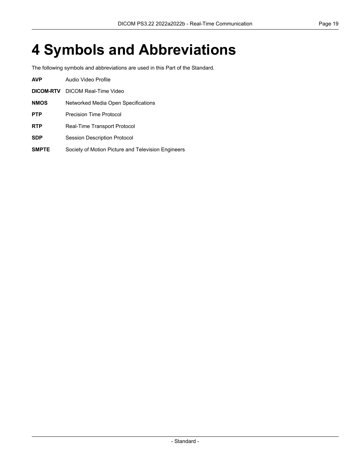# <span id="page-18-0"></span>**4 Symbols and Abbreviations**

The following symbols and abbreviations are used in this Part of the Standard.

| <b>AVP</b>   | Audio Video Profile                                |  |  |
|--------------|----------------------------------------------------|--|--|
| DICOM-RTV    | DICOM Real-Time Video                              |  |  |
| <b>NMOS</b>  | Networked Media Open Specifications                |  |  |
| <b>PTP</b>   | Precision Time Protocol                            |  |  |
| <b>RTP</b>   | Real-Time Transport Protocol                       |  |  |
| <b>SDP</b>   | <b>Session Description Protocol</b>                |  |  |
| <b>SMPTE</b> | Society of Motion Picture and Television Engineers |  |  |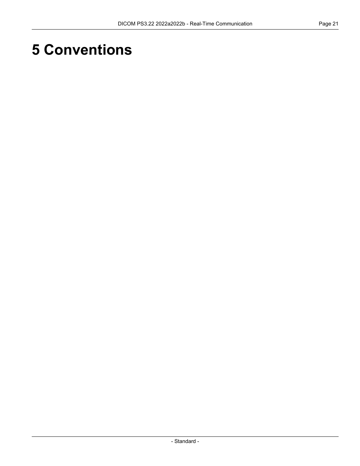# <span id="page-20-0"></span>**5 Conventions**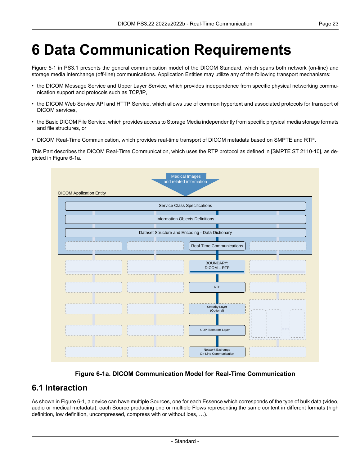# <span id="page-22-0"></span>**6 Data Communication Requirements**

[Figure](part01.pdf#figure_5-1) 5-1 in PS3.1 presents the general communication model of the DICOM Standard, which spans both network (on-line) and storage media interchange (off-line) communications. Application Entities may utilize any of the following transport mechanisms:

- the DICOM Message Service and Upper Layer Service, which provides independence from specific physical networking commu nication support and protocols such as TCP/IP,
- the DICOM Web Service API and HTTP Service, which allows use of common hypertext and associated protocols for transport of DICOM services,
- the Basic DICOM File Service, which provides access to Storage Media independently from specific physical media storage formats and file structures, or
- DICOM Real-Time Communication, which provides real-time transport of DICOM metadata based on SMPTE and RTP.

<span id="page-22-2"></span>This Part describes the DICOM Real-Time Communication, which uses the RTP protocol as defined in [SMPTE ST [2110-10\]](#page-14-3), as de picted in [Figure](#page-22-2) 6-1a.

| <b>Medical Images</b><br>and related information |                                            |  |  |  |  |  |  |
|--------------------------------------------------|--------------------------------------------|--|--|--|--|--|--|
| <b>DICOM Application Entity</b>                  |                                            |  |  |  |  |  |  |
|                                                  | Service Class Specifications               |  |  |  |  |  |  |
|                                                  |                                            |  |  |  |  |  |  |
| Information Objects Definitions                  |                                            |  |  |  |  |  |  |
|                                                  |                                            |  |  |  |  |  |  |
| Dataset Structure and Encoding - Data Dictionary |                                            |  |  |  |  |  |  |
|                                                  | <b>Real Time Communications</b>            |  |  |  |  |  |  |
|                                                  | <b>BOUNDARY:</b><br>DICOM-RTP              |  |  |  |  |  |  |
|                                                  | <b>RTP</b>                                 |  |  |  |  |  |  |
|                                                  | Security Layer<br>(Optional)<br>Ч.<br>H.   |  |  |  |  |  |  |
|                                                  | <b>UDP Transport Layer</b><br>$\mathbf{1}$ |  |  |  |  |  |  |
|                                                  | Network Exchange<br>On-Line Communication  |  |  |  |  |  |  |

**Figure 6-1a. DICOM Communication Model for Real-Time Communication**

#### <span id="page-22-1"></span>**6.1 Interaction**

As shown in [Figure](#page-23-0) 6-1, a device can have multiple Sources, one for each Essence which corresponds of the type of bulk data (video, audio or medical metadata), each Source producing one or multiple Flows representing the same content in different formats (high definition, low definition, uncompressed, compress with or without loss, …).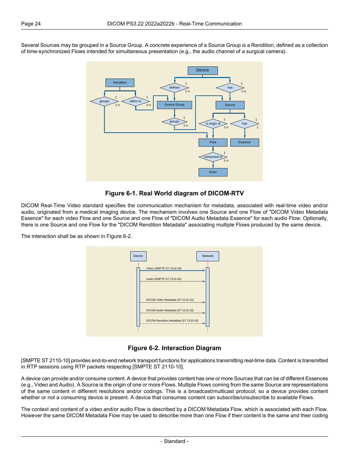<span id="page-23-0"></span>Several Sources may be grouped in a Source Group. A concrete experience of a Source Group is a Rendition, defined as a collection of time-synchronized Flows intended for simultaneous presentation (e.g., the audio channel of a surgical camera).



**Figure 6-1. Real World diagram of DICOM-RTV**

DICOM Real-Time Video standard specifies the communication mechanism for metadata, associated with real-time video and/or audio, originated from a medical imaging device. The mechanism involves one Source and one Flow of "DICOM Video Metadata Essence" for each video Flow and one Source and one Flow of "DICOM Audio Metadata Essence" for each audio Flow. Optionally, there is one Source and one Flow for the "DICOM Rendition Metadata" associating multiple Flows produced by the same device.

<span id="page-23-1"></span>The interaction shall be as shown in [Figure](#page-23-1) 6-2.



**Figure 6-2. Interaction Diagram**

[SMPTE ST [2110-10\]](#page-14-3) provides end-to-end network transport functions for applications transmitting real-time data. Content is transmitted in RTP sessions using RTP packets respecting [SMPTE ST [2110-10\].](#page-14-3)

A device can provide and/or consume content. A device that provides content has one or more Sources that can be of different Essences (e.g., Video and Audio). A Source is the origin of one or more Flows. Multiple Flows coming from the same Source are representations of the same content in different resolutions and/or codings. This is a broadcast/multicast protocol, so a device provides content whether or not a consuming device is present. A device that consumes content can subscribe/unsubscribe to available Flows.

The context and content of a video and/or audio Flow is described by a DICOM Metadata Flow, which is associated with each Flow. However the same DICOM Metadata Flow may be used to describe more than one Flow if their content is the same and their coding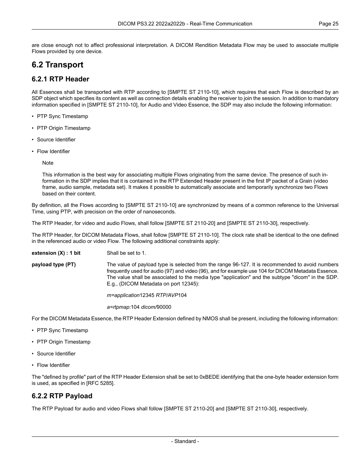#### <span id="page-24-1"></span><span id="page-24-0"></span>**6.2 Transport**

#### **6.2.1 RTP Header**

All Essences shall be transported with RTP according to [SMPTE ST [2110-10\],](#page-14-3) which requires that each Flow is described by an SDP object which specifies its content as well as connection details enabling the receiver to join the session. In addition to mandatory information specified in [SMPTE ST [2110-10\],](#page-14-3) for Audio and Video Essence, the SDP may also include the following information:

- PTP Sync Timestamp
- PTP Origin Timestamp
- Source Identifier
- Flow Identifier

Note

This information is the best way for associating multiple Flows originating from the same device. The presence of such in formation in the SDP implies that it is contained in the RTP Extended Header present in the first IP packet of a Grain (video frame, audio sample, metadata set). It makes it possible to automatically associate and temporarily synchronize two Flows based on their content.

By definition, all the Flows according to [SMPTE ST [2110-10\]](#page-14-3) are synchronized by means of a common reference to the Universal Time, using PTP, with precision on the order of nanoseconds.

The RTP Header, for video and audio Flows, shall follow [SMPTE ST [2110-20\]](#page-14-4) and [SMPTE ST [2110-30\],](#page-14-5) respectively.

The RTP Header, for DICOM Metadata Flows, shall follow [SMPTE ST [2110-10\].](#page-14-3) The clock rate shall be identical to the one defined in the referenced audio or video Flow. The following additional constraints apply:

**extension (X) : 1 bit** Shall be set to 1.

**payload type (PT)** The value of payload type is selected from the range 96-127. It is recommended to avoid numbers frequently used for audio (97) and video (96), and for example use 104 for DICOM Metadata Essence. The value shall be associated to the media type "application" and the subtype "dicom" in the SDP. E.g., (DICOM Metadata on port 12345):

*m=application*12345 *RTP/AVP*104

*a=rtpmap:*104 *dicom/*90000

For the DICOM Metadata Essence, the RTP Header Extension defined by NMOS shall be present, including the following information:

- PTP Sync Timestamp
- PTP Origin Timestamp
- <span id="page-24-2"></span>• Source Identifier
- Flow Identifier

The "defined by profile" part of the RTP Header Extension shall be set to 0xBEDE identifying that the one-byte header extension form is used, as specified in [RFC [5285\].](#page-14-6)

#### **6.2.2 RTP Payload**

The RTP Payload for audio and video Flows shall follow [SMPTE ST [2110-20\]](#page-14-4) and [SMPTE ST [2110-30\],](#page-14-5) respectively.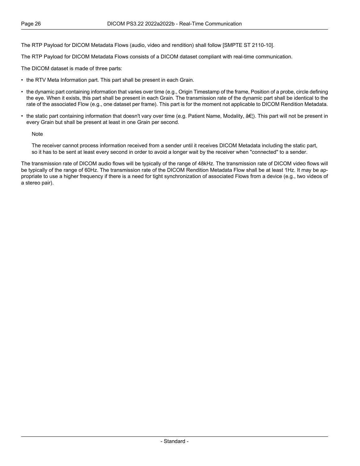The RTP Payload for DICOM Metadata Flows (audio, video and rendition) shall follow [SMPTE ST [2110-10\]](#page-14-3).

The RTP Payload for DICOM Metadata Flows consists of a DICOM dataset compliant with real-time communication.

The DICOM dataset is made of three parts:

- the RTV Meta Information part. This part shall be present in each Grain.
- the dynamic part containing information that varies over time (e.g., Origin Timestamp of the frame, Position of a probe, circle defining the eye. When it exists, this part shall be present in each Grain. The transmission rate of the dynamic part shall be identical to the rate of the associated Flow (e.g., one dataset per frame). This part is for the moment not applicable to DICOM Rendition Metadata.
- the static part containing information that doesn't vary over time (e.g. Patient Name, Modality,  $\hat{a}\epsilon$ ). This part will not be present in every Grain but shall be present at least in one Grain per second.

**Note** 

The receiver cannot process information received from a sender until it receives DICOM Metadata including the static part, so it has to be sent at least every second in order to avoid a longer wait by the receiver when "connected" to a sender.

The transmission rate of DICOM audio flows will be typically of the range of 48kHz. The transmission rate of DICOM video flows will be typically of the range of 60Hz. The transmission rate of the DICOM Rendition Metadata Flow shall be at least 1Hz. It may be ap propriate to use a higher frequency if there is a need for tight synchronization of associated Flows from a device (e.g., two videos of a stereo pair).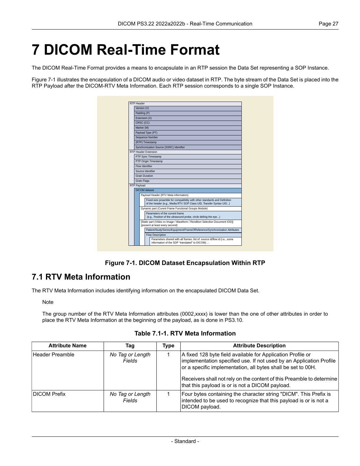## <span id="page-26-0"></span>**7 DICOM Real-Time Format**

The DICOM Real-Time Format provides a means to encapsulate in an RTP session the Data Set representing a SOP Instance.

<span id="page-26-2"></span>[Figure](#page-26-2) 7-1 illustrates the encapsulation of a DICOM audio or video dataset in RTP. The byte stream of the Data Set is placed into the RTP Payload after the DICOM-RTV Meta Information. Each RTP session corresponds to a single SOP Instance.

| RTP Header    |                       |                                                                                                                                                 |                                                                                                                            |  |  |  |  |
|---------------|-----------------------|-------------------------------------------------------------------------------------------------------------------------------------------------|----------------------------------------------------------------------------------------------------------------------------|--|--|--|--|
|               |                       | Version (V)                                                                                                                                     |                                                                                                                            |  |  |  |  |
|               | Padding (P)           |                                                                                                                                                 |                                                                                                                            |  |  |  |  |
|               | Extension (X)         |                                                                                                                                                 |                                                                                                                            |  |  |  |  |
|               |                       | CRSC (CC)                                                                                                                                       |                                                                                                                            |  |  |  |  |
|               | Marker (M)            |                                                                                                                                                 |                                                                                                                            |  |  |  |  |
|               |                       |                                                                                                                                                 | Payload Type (PT)                                                                                                          |  |  |  |  |
|               |                       |                                                                                                                                                 | Sequence Number                                                                                                            |  |  |  |  |
|               |                       |                                                                                                                                                 | (RTP) Timestamp                                                                                                            |  |  |  |  |
|               |                       |                                                                                                                                                 | Synchronization Source (SSRC) Identifier                                                                                   |  |  |  |  |
|               |                       |                                                                                                                                                 | RTP Header Extension                                                                                                       |  |  |  |  |
|               |                       |                                                                                                                                                 | PTP Sync Timestamp                                                                                                         |  |  |  |  |
|               |                       |                                                                                                                                                 | PTP Origin Timestamp                                                                                                       |  |  |  |  |
|               |                       | Flow Identifier                                                                                                                                 |                                                                                                                            |  |  |  |  |
|               | Source Identifier     |                                                                                                                                                 |                                                                                                                            |  |  |  |  |
|               | <b>Grain Duration</b> |                                                                                                                                                 |                                                                                                                            |  |  |  |  |
|               | <b>Grain Flags</b>    |                                                                                                                                                 |                                                                                                                            |  |  |  |  |
| RTP Payload   |                       |                                                                                                                                                 |                                                                                                                            |  |  |  |  |
| DICOM dataset |                       |                                                                                                                                                 |                                                                                                                            |  |  |  |  |
|               |                       |                                                                                                                                                 | Payload Header (RTV Meta Information)                                                                                      |  |  |  |  |
|               |                       | Fixed-size preamble for compatibility with other standards and Definition<br>of the header (e.g., Media RTV SOP Class UID, Transfer Syntax UID) |                                                                                                                            |  |  |  |  |
|               |                       | Dynamic part (Curent Frame Functional Groups Module)                                                                                            |                                                                                                                            |  |  |  |  |
|               |                       | Parameters of the current frame<br>(e.g., Position of the ultrasound probe, circle definig the eye)                                             |                                                                                                                            |  |  |  |  |
|               |                       |                                                                                                                                                 | [Static part (Video xx Image / Waveform / Rendition Selection Document IOD)]<br>(present at least every second)            |  |  |  |  |
|               |                       |                                                                                                                                                 | Patient/Study/Series/Equipment/FrameOfReference/Synchronization Attributes                                                 |  |  |  |  |
|               |                       |                                                                                                                                                 | Flow Description                                                                                                           |  |  |  |  |
|               |                       |                                                                                                                                                 | Parameters shared with all frames: list of: source id/flow id (i.e., some<br>information of the SDP "translated" to DICOM) |  |  |  |  |

**Figure 7-1. DICOM Dataset Encapsulation Within RTP**

#### <span id="page-26-1"></span>**7.1 RTV Meta Information**

<span id="page-26-3"></span>The RTV Meta Information includes identifying information on the encapsulated DICOM Data Set.

Note

The group number of the RTV Meta Information attributes (0002,xxxx) is lower than the one of other attributes in order to place the RTV Meta Information at the beginning of the payload, as is done in [PS3.10.](part10.pdf#PS3.10)

**Table 7.1-1. RTV Meta Information**

| <b>Attribute Name</b> | Taq                        | Type | <b>Attribute Description</b>                                                                                                                                                                                                                                                                                                   |
|-----------------------|----------------------------|------|--------------------------------------------------------------------------------------------------------------------------------------------------------------------------------------------------------------------------------------------------------------------------------------------------------------------------------|
| Header Preamble       | No Tag or Length<br>Fields |      | A fixed 128 byte field available for Application Profile or<br>implementation specified use. If not used by an Application Profile<br>or a specific implementation, all bytes shall be set to 00H.<br>Receivers shall not rely on the content of this Preamble to determine<br>that this payload is or is not a DICOM payload. |
| <b>DICOM Prefix</b>   | No Tag or Length<br>Fields |      | Four bytes containing the character string "DICM". This Prefix is<br>intended to be used to recognize that this payload is or is not a<br>DICOM payload.                                                                                                                                                                       |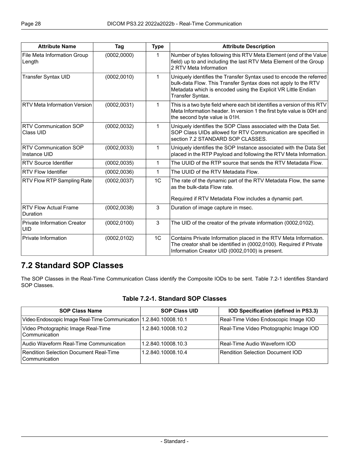| <b>Attribute Name</b>                            | Tag          | <b>Type</b>  | <b>Attribute Description</b>                                                                                                                                                                                               |  |
|--------------------------------------------------|--------------|--------------|----------------------------------------------------------------------------------------------------------------------------------------------------------------------------------------------------------------------------|--|
| File Meta Information Group<br>Length            | (0002, 0000) | 1            | Number of bytes following this RTV Meta Element (end of the Value<br>field) up to and including the last RTV Meta Element of the Group<br>2 RTV Meta Information                                                           |  |
| <b>Transfer Syntax UID</b>                       | (0002, 0010) | 1            | Uniquely identifies the Transfer Syntax used to encode the referred<br>bulk-data Flow. This Transfer Syntax does not apply to the RTV<br>Metadata which is encoded using the Explicit VR Little Endian<br>Transfer Syntax. |  |
| <b>RTV Meta Information Version</b>              | (0002, 0031) | $\mathbf{1}$ | This is a two byte field where each bit identifies a version of this RTV<br>Meta Information header. In version 1 the first byte value is 00H and<br>the second byte value is 01H.                                         |  |
| <b>RTV Communication SOP</b><br>Class UID        | (0002, 0032) | 1            | Uniquely identifies the SOP Class associated with the Data Set.<br>SOP Class UIDs allowed for RTV Communication are specified in<br>section 7.2 STANDARD SOP CLASSES.                                                      |  |
| <b>RTV Communication SOP</b><br>Instance UID     | (0002, 0033) | 1            | Uniquely identifies the SOP Instance associated with the Data Set<br>placed in the RTP Payload and following the RTV Meta Information.                                                                                     |  |
| <b>RTV Source Identifier</b>                     | (0002, 0035) | 1            | The UUID of the RTP source that sends the RTV Metadata Flow.                                                                                                                                                               |  |
| <b>RTV Flow Identifier</b>                       | (0002, 0036) | $\mathbf{1}$ | The UUID of the RTV Metadata Flow.                                                                                                                                                                                         |  |
| RTV Flow RTP Sampling Rate                       | (0002, 0037) | 1C           | The rate of the dynamic part of the RTV Metadata Flow, the same<br>as the bulk-data Flow rate.<br>Required if RTV Metadata Flow includes a dynamic part.                                                                   |  |
| <b>RTV Flow Actual Frame</b><br>Duration         | (0002, 0038) | 3            | Duration of image capture in msec.                                                                                                                                                                                         |  |
| <b>Private Information Creator</b><br><b>UID</b> | (0002, 0100) | $\mathbf{3}$ | The UID of the creator of the private information (0002,0102).                                                                                                                                                             |  |
| Private Information                              | (0002, 0102) | 1C           | Contains Private Information placed in the RTV Meta Information.<br>The creator shall be identified in (0002,0100). Required if Private<br>Information Creator UID (0002,0100) is present.                                 |  |

#### <span id="page-27-1"></span><span id="page-27-0"></span>**7.2 Standard SOP Classes**

The SOP Classes in the Real-Time Communication Class identify the Composite IODs to be sent. [Table](#page-27-1) 7.2-1 identifies Standard SOP Classes.

#### **Table 7.2-1. Standard SOP Classes**

| <b>SOP Class Name</b>                                               | <b>SOP Class UID</b> | IOD Specification (defined in PS3.3)   |
|---------------------------------------------------------------------|----------------------|----------------------------------------|
| Video Endoscopic Image Real-Time Communication   1.2.840.10008.10.1 |                      | Real-Time Video Endoscopic Image IOD   |
| Video Photographic Image Real-Time<br>Communication                 | 1.2.840.10008.10.2   | Real-Time Video Photographic Image IOD |
| Audio Waveform Real-Time Communication                              | 1.2.840.10008.10.3   | Real-Time Audio Waveform IOD           |
| Rendition Selection Document Real-Time<br>l Communication           | 1.2.840.10008.10.4   | Rendition Selection Document IOD       |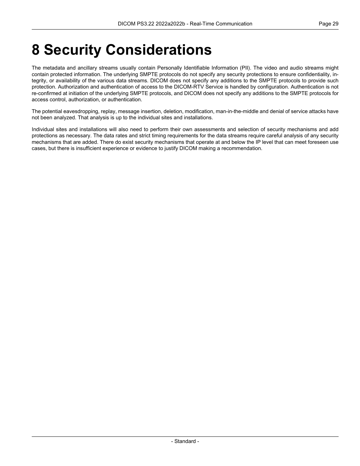## <span id="page-28-0"></span>**8 Security Considerations**

The metadata and ancillary streams usually contain Personally Identifiable Information (PII). The video and audio streams might contain protected information. The underlying SMPTE protocols do not specify any security protections to ensure confidentiality, in tegrity, or availability of the various data streams. DICOM does not specify any additions to the SMPTE protocols to provide such protection. Authorization and authentication of access to the DICOM-RTV Service is handled by configuration. Authentication is not re-confirmed at initiation of the underlying SMPTE protocols, and DICOM does not specify any additions to the SMPTE protocols for access control, authorization, or authentication.

The potential eavesdropping, replay, message insertion, deletion, modification, man-in-the-middle and denial of service attacks have not been analyzed. That analysis is up to the individual sites and installations.

Individual sites and installations will also need to perform their own assessments and selection of security mechanisms and add protections as necessary. The data rates and strict timing requirements for the data streams require careful analysis of any security mechanisms that are added. There do exist security mechanisms that operate at and below the IP level that can meet foreseen use cases, but there is insufficient experience or evidence to justify DICOM making a recommendation.